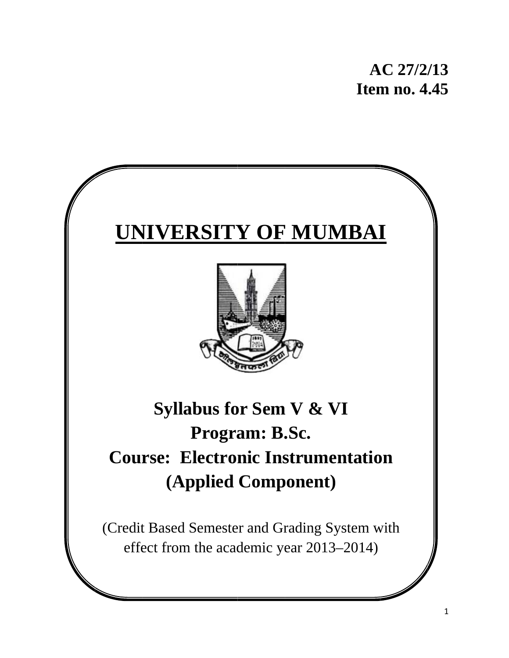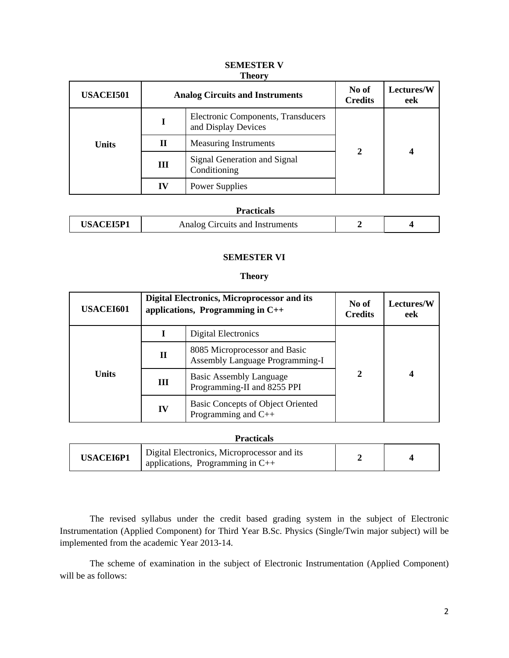| <b>USACEI501</b> | <b>Analog Circuits and Instruments</b> |                                                           | No of<br><b>Credits</b> | Lectures/W<br>eek |
|------------------|----------------------------------------|-----------------------------------------------------------|-------------------------|-------------------|
|                  |                                        | Electronic Components, Transducers<br>and Display Devices |                         |                   |
| <b>Units</b>     | П                                      | <b>Measuring Instruments</b>                              | $\mathbf{2}$            |                   |
|                  | Ш                                      | Signal Generation and Signal<br>Conditioning              |                         |                   |
|                  | IV                                     | Power Supplies                                            |                         |                   |

#### **SEMESTER V Theory**

## **Practicals**

|     | .                               |  |
|-----|---------------------------------|--|
| E T | Analog Circuits and Instruments |  |

## **SEMESTER VI**

#### **Theory**

| <b>USACEI601</b> | Digital Electronics, Microprocessor and its<br>applications, Programming in $C++$ |                                                                         | No of<br><b>Credits</b> | <b>Lectures/W</b><br>eek |
|------------------|-----------------------------------------------------------------------------------|-------------------------------------------------------------------------|-------------------------|--------------------------|
| <b>Units</b>     |                                                                                   | Digital Electronics                                                     | $\mathbf{2}$            |                          |
|                  | $\mathbf H$                                                                       | 8085 Microprocessor and Basic<br><b>Assembly Language Programming-I</b> |                         |                          |
|                  | Ш                                                                                 | <b>Basic Assembly Language</b><br>Programming-II and 8255 PPI           |                         |                          |
|                  | IV                                                                                | Basic Concepts of Object Oriented<br>Programming and $C++$              |                         |                          |

| <b>Practicals</b> |                                                                                   |  |  |
|-------------------|-----------------------------------------------------------------------------------|--|--|
| <b>USACEI6P1</b>  | Digital Electronics, Microprocessor and its<br>applications, Programming in $C++$ |  |  |

The revised syllabus under the credit based grading system in the subject of Electronic Instrumentation (Applied Component) for Third Year B.Sc. Physics (Single/Twin major subject) will be implemented from the academic Year 2013-14.

 The scheme of examination in the subject of Electronic Instrumentation (Applied Component) will be as follows: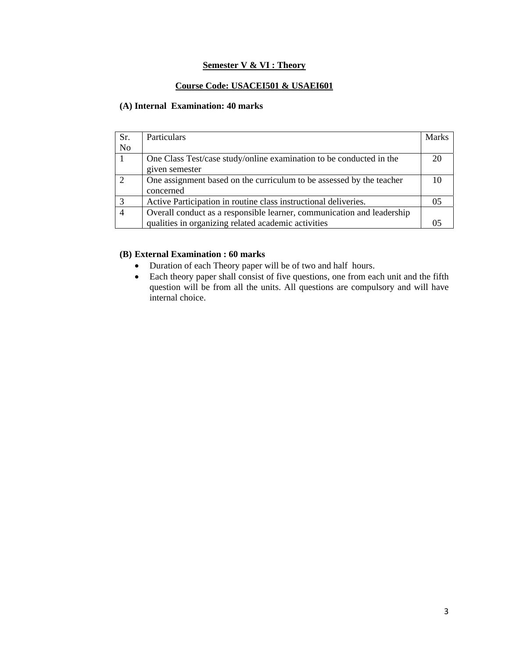# **Semester V & VI : Theory**

# **Course Code: USACEI501 & USAEI601**

# **(A) Internal Examination: 40 marks**

| Sr.            | <b>Particulars</b>                                                     | <b>Marks</b> |
|----------------|------------------------------------------------------------------------|--------------|
| N <sub>o</sub> |                                                                        |              |
|                | One Class Test/case study/online examination to be conducted in the    | 20           |
|                | given semester                                                         |              |
| $\mathcal{L}$  | One assignment based on the curriculum to be assessed by the teacher   |              |
|                | concerned                                                              |              |
|                | Active Participation in routine class instructional deliveries.        | 05           |
|                | Overall conduct as a responsible learner, communication and leadership |              |
|                | qualities in organizing related academic activities                    |              |

# **(B) External Examination : 60 marks**

- Duration of each Theory paper will be of two and half hours.
- Each theory paper shall consist of five questions, one from each unit and the fifth question will be from all the units. All questions are compulsory and will have internal choice.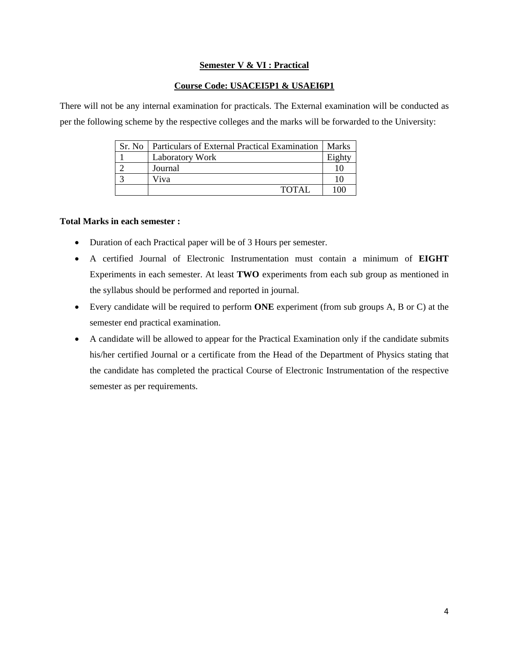## **Semester V & VI : Practical**

## **Course Code: USACEI5P1 & USAEI6P1**

There will not be any internal examination for practicals. The External examination will be conducted as per the following scheme by the respective colleges and the marks will be forwarded to the University:

| Sr. No. | Particulars of External Practical Examination | <b>Marks</b> |
|---------|-----------------------------------------------|--------------|
|         | <b>Laboratory Work</b>                        | Eight        |
|         | Journal                                       |              |
|         | Viva                                          |              |
|         | <b>TOTAL</b>                                  | 100          |

## **Total Marks in each semester :**

- Duration of each Practical paper will be of 3 Hours per semester.
- A certified Journal of Electronic Instrumentation must contain a minimum of **EIGHT** Experiments in each semester. At least **TWO** experiments from each sub group as mentioned in the syllabus should be performed and reported in journal.
- Every candidate will be required to perform **ONE** experiment (from sub groups A, B or C) at the semester end practical examination.
- A candidate will be allowed to appear for the Practical Examination only if the candidate submits his/her certified Journal or a certificate from the Head of the Department of Physics stating that the candidate has completed the practical Course of Electronic Instrumentation of the respective semester as per requirements.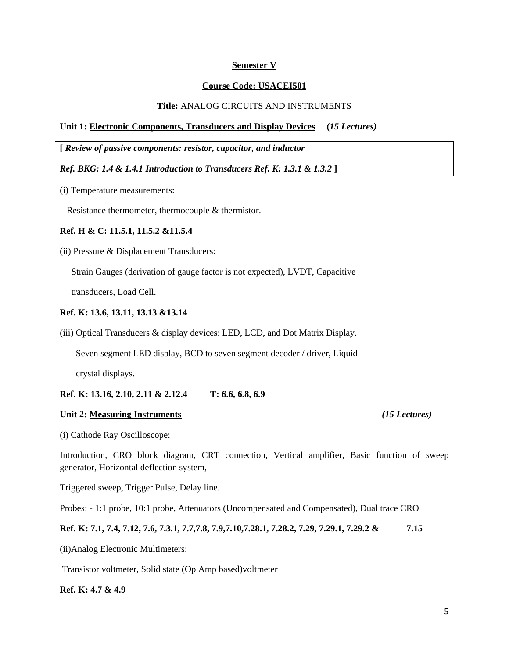#### **Semester V**

#### **Course Code: USACEI501**

#### **Title:** ANALOG CIRCUITS AND INSTRUMENTS

#### **Unit 1: Electronic Components, Transducers and Display Devices (***15 Lectures)*

**[** *Review of passive components: resistor, capacitor, and inductor* 

*Ref. BKG: 1.4 & 1.4.1 Introduction to Transducers Ref. K: 1.3.1 & 1.3.2* **]** 

(i) Temperature measurements:

Resistance thermometer, thermocouple & thermistor.

#### **Ref. H & C: 11.5.1, 11.5.2 &11.5.4**

(ii) Pressure & Displacement Transducers:

Strain Gauges (derivation of gauge factor is not expected), LVDT, Capacitive

#### **Ref. K: 13.6, 13.11, 13.13 &13.14**

(iii) Optical Transducers & display devices: LED, LCD, and Dot Matrix Display.

Seven segment LED display, BCD to seven segment decoder / driver, Liquid

crystal displays.

#### **Ref. K: 13.16, 2.10, 2.11 & 2.12.4 T: 6.6, 6.8, 6.9**

#### **Unit 2: Measuring Instruments** *(15 Lectures)*

(i) Cathode Ray Oscilloscope:

Introduction, CRO block diagram, CRT connection, Vertical amplifier, Basic function of sweep generator, Horizontal deflection system,

Triggered sweep, Trigger Pulse, Delay line.

Probes: - 1:1 probe, 10:1 probe, Attenuators (Uncompensated and Compensated), Dual trace CRO

#### **Ref. K: 7.1, 7.4, 7.12, 7.6, 7.3.1, 7.7,7.8, 7.9,7.10,7.28.1, 7.28.2, 7.29, 7.29.1, 7.29.2 & 7.15**

(ii)Analog Electronic Multimeters:

Transistor voltmeter, Solid state (Op Amp based)voltmeter

## **Ref. K: 4.7 & 4.9**

transducers, Load Cell.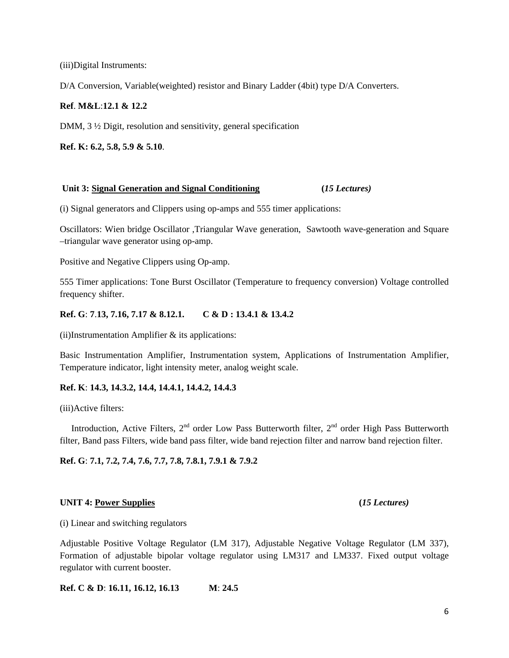(iii)Digital Instruments:

D/A Conversion, Variable(weighted) resistor and Binary Ladder (4bit) type D/A Converters.

## **Ref**. **M&L**:**12.1 & 12.2**

DMM, 3 ½ Digit, resolution and sensitivity, general specification

**Ref. K: 6.2, 5.8, 5.9 & 5.10**.

## **Unit 3: Signal Generation and Signal Conditioning (***15 Lectures)*

(i) Signal generators and Clippers using op-amps and 555 timer applications:

Oscillators: Wien bridge Oscillator ,Triangular Wave generation, Sawtooth wave-generation and Square –triangular wave generator using op-amp.

Positive and Negative Clippers using Op-amp.

555 Timer applications: Tone Burst Oscillator (Temperature to frequency conversion) Voltage controlled frequency shifter.

# **Ref. G**: **7**.**13, 7.16, 7.17 & 8.12.1. C & D : 13.4.1 & 13.4.2**

 $(ii)$ Instrumentation Amplifier  $&$  its applications:

Basic Instrumentation Amplifier, Instrumentation system, Applications of Instrumentation Amplifier, Temperature indicator, light intensity meter, analog weight scale.

# **Ref. K**: **14.3, 14.3.2, 14.4, 14.4.1, 14.4.2, 14.4.3**

(iii)Active filters:

Introduction, Active Filters, 2<sup>nd</sup> order Low Pass Butterworth filter, 2<sup>nd</sup> order High Pass Butterworth filter, Band pass Filters, wide band pass filter, wide band rejection filter and narrow band rejection filter.

**Ref. G**: **7.1, 7.2, 7.4, 7.6, 7.7, 7.8, 7.8.1, 7.9.1 & 7.9.2**

## UNIT 4: <u>Power Supplies</u> (*15 Lectures*)

(i) Linear and switching regulators

Adjustable Positive Voltage Regulator (LM 317), Adjustable Negative Voltage Regulator (LM 337), Formation of adjustable bipolar voltage regulator using LM317 and LM337. Fixed output voltage regulator with current booster.

**Ref. C & D**: **16.11, 16.12, 16.13 M**: **24.5**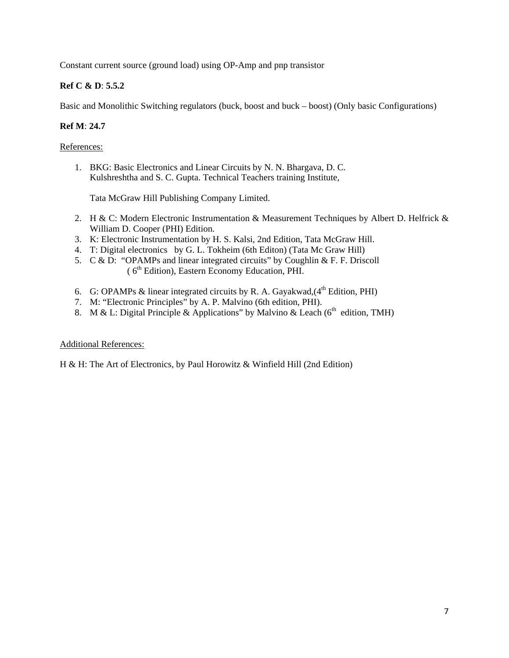Constant current source (ground load) using OP-Amp and pnp transistor

# **Ref C & D**: **5.5.2**

Basic and Monolithic Switching regulators (buck, boost and buck – boost) (Only basic Configurations)

# **Ref M**: **24.7**

## References:

1. BKG: Basic Electronics and Linear Circuits by N. N. Bhargava, D. C. Kulshreshtha and S. C. Gupta. Technical Teachers training Institute,

Tata McGraw Hill Publishing Company Limited.

- 2. H & C: Modern Electronic Instrumentation & Measurement Techniques by Albert D. Helfrick & William D. Cooper (PHI) Edition.
- 3. K: Electronic Instrumentation by H. S. Kalsi, 2nd Edition, Tata McGraw Hill.
- 4. T: Digital electronics by G. L. Tokheim (6th Editon) (Tata Mc Graw Hill)
- 5.  $C & D$ : "OPAMPs and linear integrated circuits" by Coughlin & F. F. Driscoll  $(6<sup>th</sup> Edition)$ , Eastern Economy Education, PHI.
- 6. G: OPAMPs & linear integrated circuits by R. A. Gayakwad, $(4<sup>th</sup> Edition, PHI)$
- 7. M: "Electronic Principles" by A. P. Malvino (6th edition, PHI).
- 8. M & L: Digital Principle & Applications" by Malvino & Leach ( $6<sup>th</sup>$  edition, TMH)

## Additional References:

H & H: The Art of Electronics, by Paul Horowitz & Winfield Hill (2nd Edition)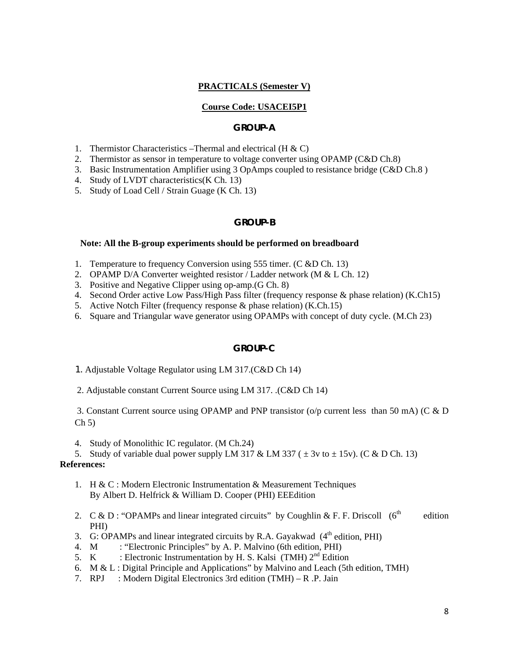## **PRACTICALS (Semester V)**

#### **Course Code: USACEI5P1**

#### **GROUP-A**

- 1. Thermistor Characteristics –Thermal and electrical  $(H & C)$
- 2. Thermistor as sensor in temperature to voltage converter using OPAMP (C&D Ch.8)
- 3. Basic Instrumentation Amplifier using 3 OpAmps coupled to resistance bridge (C&D Ch.8 )
- 4. Study of LVDT characteristics(K Ch. 13)
- 5. Study of Load Cell / Strain Guage (K Ch. 13)

## **GROUP-B**

#### **Note: All the B-group experiments should be performed on breadboard**

- 1. Temperature to frequency Conversion using 555 timer. (C &D Ch. 13)
- 2. OPAMP D/A Converter weighted resistor / Ladder network (M & L Ch. 12)
- 3. Positive and Negative Clipper using op-amp.(G Ch. 8)
- 4. Second Order active Low Pass/High Pass filter (frequency response & phase relation) (K.Ch15)
- 5. Active Notch Filter (frequency response & phase relation) (K.Ch.15)
- 6. Square and Triangular wave generator using OPAMPs with concept of duty cycle. (M.Ch 23)

## **GROUP-C**

- 1. Adjustable Voltage Regulator using LM 317.(C&D Ch 14)
- 2. Adjustable constant Current Source using LM 317. .(C&D Ch 14)

 3. Constant Current source using OPAMP and PNP transistor (o/p current less than 50 mA) (C & D  $Ch 5)$ 

- 4. Study of Monolithic IC regulator. (M Ch.24)
- 5. Study of variable dual power supply LM 317 & LM 337 ( $\pm$  3v to  $\pm$  15v). (C & D Ch. 13)

#### **References:**

- 1. H & C : Modern Electronic Instrumentation & Measurement Techniques By Albert D. Helfrick & William D. Cooper (PHI) EEEdition
- 2. C & D : "OPAMPs and linear integrated circuits" by Coughlin & F. F. Driscoll  $(6<sup>th</sup>$  edition PHI)
- 3. G: OPAMPs and linear integrated circuits by R.A. Gayakwad  $(4<sup>th</sup>$  edition, PHI)
- 4. M : "Electronic Principles" by A. P. Malvino (6th edition, PHI)
- 5. K : Electronic Instrumentation by H. S. Kalsi (TMH)  $2<sup>nd</sup>$  Edition
- 6. M & L : Digital Principle and Applications" by Malvino and Leach (5th edition, TMH)
- 7. RPJ : Modern Digital Electronics 3rd edition (TMH) R .P. Jain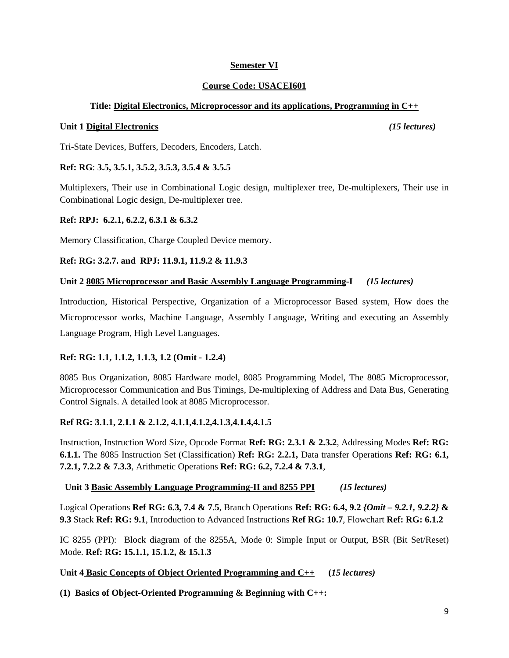# **Semester VI**

# **Course Code: USACEI601**

# **Title: Digital Electronics, Microprocessor and its applications, Programming in C++**

## **Unit 1 Digital Electronics** *(15 lectures)*

Tri-State Devices, Buffers, Decoders, Encoders, Latch.

# **Ref: RG**: **3.5, 3.5.1, 3.5.2, 3.5.3, 3.5.4 & 3.5.5**

Multiplexers, Their use in Combinational Logic design, multiplexer tree, De-multiplexers, Their use in Combinational Logic design, De-multiplexer tree.

# **Ref: RPJ: 6.2.1, 6.2.2, 6.3.1 & 6.3.2**

Memory Classification, Charge Coupled Device memory.

# **Ref: RG: 3.2.7. and RPJ: 11.9.1, 11.9.2 & 11.9.3**

# **Unit 2 8085 Microprocessor and Basic Assembly Language Programming-I** *(15 lectures)*

Introduction, Historical Perspective, Organization of a Microprocessor Based system, How does the Microprocessor works, Machine Language, Assembly Language, Writing and executing an Assembly Language Program, High Level Languages.

# **Ref: RG: 1.1, 1.1.2, 1.1.3, 1.2 (Omit - 1.2.4)**

8085 Bus Organization, 8085 Hardware model, 8085 Programming Model, The 8085 Microprocessor, Microprocessor Communication and Bus Timings, De-multiplexing of Address and Data Bus, Generating Control Signals. A detailed look at 8085 Microprocessor.

# **Ref RG: 3.1.1, 2.1.1 & 2.1.2, 4.1.1,4.1.2,4.1.3,4.1.4,4.1.5**

Instruction, Instruction Word Size, Opcode Format **Ref: RG: 2.3.1 & 2.3.2**, Addressing Modes **Ref: RG: 6.1.1.** The 8085 Instruction Set (Classification) **Ref: RG: 2.2.1,** Data transfer Operations **Ref: RG: 6.1, 7.2.1, 7.2.2 & 7.3.3**, Arithmetic Operations **Ref: RG: 6.2, 7.2.4 & 7.3.1**,

# **Unit 3 Basic Assembly Language Programming-II and 8255 PPI** *(15 lectures)*

Logical Operations **Ref RG: 6.3, 7.4 & 7.5**, Branch Operations **Ref: RG: 6.4, 9.2** *{Omit – 9.2.1, 9.2.2}* **& 9.3** Stack **Ref: RG: 9.1**, Introduction to Advanced Instructions **Ref RG: 10.7**, Flowchart **Ref: RG: 6.1.2**

IC 8255 (PPI): Block diagram of the 8255A, Mode 0: Simple Input or Output, BSR (Bit Set/Reset) Mode. **Ref: RG: 15.1.1, 15.1.2, & 15.1.3** 

# **Unit 4 Basic Concepts of Object Oriented Programming and C++ (***15 lectures)*

**(1) Basics of Object-Oriented Programming & Beginning with C++:**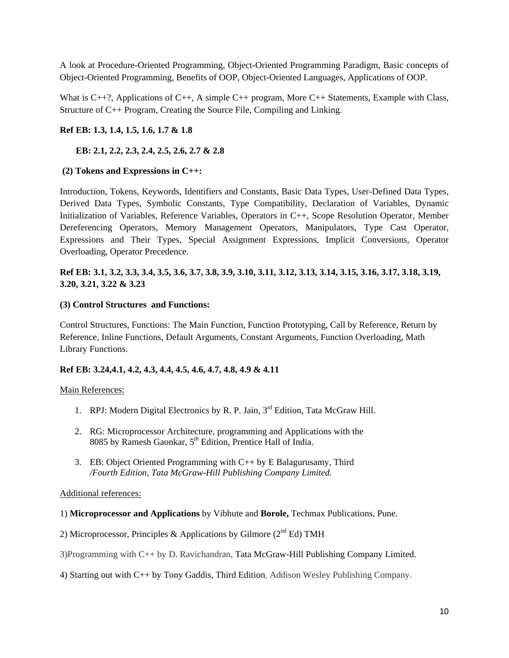A look at Procedure-Oriented Programming, Object-Oriented Programming Paradigm, Basic concepts of Object-Oriented Programming, Benefits of OOP, Object-Oriented Languages, Applications of OOP.

What is C++?, Applications of C++, A simple C++ program, More C++ Statements, Example with Class, Structure of C++ Program, Creating the Source File, Compiling and Linking.

# **Ref EB: 1.3, 1.4, 1.5, 1.6, 1.7 & 1.8**

## **EB: 2.1, 2.2, 2.3, 2.4, 2.5, 2.6, 2.7 & 2.8**

## **(2) Tokens and Expressions in C++:**

Introduction, Tokens, Keywords, Identifiers and Constants, Basic Data Types, User-Defined Data Types, Derived Data Types, Symbolic Constants, Type Compatibility, Declaration of Variables, Dynamic Initialization of Variables, Reference Variables, Operators in C++, Scope Resolution Operator, Member Dereferencing Operators, Memory Management Operators, Manipulators, Type Cast Operator, Expressions and Their Types, Special Assignment Expressions, Implicit Conversions, Operator Overloading, Operator Precedence.

# **Ref EB: 3.1, 3.2, 3.3, 3.4, 3.5, 3.6, 3.7, 3.8, 3.9, 3.10, 3.11, 3.12, 3.13, 3.14, 3.15, 3.16, 3.17, 3.18, 3.19, 3.20, 3.21, 3.22 & 3.23**

## **(3) Control Structures and Functions:**

Control Structures, Functions: The Main Function, Function Prototyping, Call by Reference, Return by Reference, Inline Functions, Default Arguments, Constant Arguments, Function Overloading, Math Library Functions.

## **Ref EB: 3.24,4.1, 4.2, 4.3, 4.4, 4.5, 4.6, 4.7, 4.8, 4.9 & 4.11**

## Main References:

- 1. RPJ: Modern Digital Electronics by R. P. Jain, 3<sup>rd</sup> Edition, Tata McGraw Hill.
- 2. RG: Microprocessor Architecture, programming and Applications with the 8085 by Ramesh Gaonkar, 5<sup>th</sup> Edition, Prentice Hall of India.
- 3. EB: Object Oriented Programming with C++ by E Balagurusamy, Third */Fourth Edition, Tata McGraw-Hill Publishing Company Limited.*

## Additional references:

#### 1) **Microprocessor and Applications** by Vibhute and **Borole,** Techmax Publications, Pune.

- 2) Microprocessor, Principles & Applications by Gilmore ( $2<sup>nd</sup> Ed$ ) TMH
- 3)Programming with C++ by D. Ravichandran, Tata McGraw-Hill Publishing Company Limited.
- 4) Starting out with C++ by Tony Gaddis, Third Edition, Addison Wesley Publishing Company.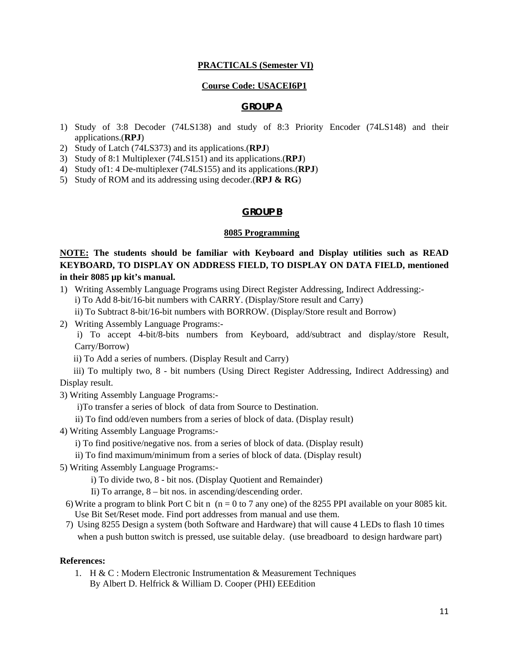#### **PRACTICALS (Semester VI)**

#### **Course Code: USACEI6P1**

#### **GROUP A**

- 1) Study of 3:8 Decoder (74LS138) and study of 8:3 Priority Encoder (74LS148) and their applications.(**RPJ**)
- 2) Study of Latch (74LS373) and its applications.(**RPJ**)
- 3) Study of 8:1 Multiplexer (74LS151) and its applications.(**RPJ**)
- 4) Study of1: 4 De-multiplexer (74LS155) and its applications.(**RPJ**)
- 5) Study of ROM and its addressing using decoder.(**RPJ & RG**)

#### **GROUP B**

#### **8085 Programming**

**NOTE: The students should be familiar with Keyboard and Display utilities such as READ KEYBOARD, TO DISPLAY ON ADDRESS FIELD, TO DISPLAY ON DATA FIELD, mentioned in their 8085 µp kit's manual.** 

- 1) Writing Assembly Language Programs using Direct Register Addressing, Indirect Addressing: i) To Add 8-bit/16-bit numbers with CARRY. (Display/Store result and Carry)
	- ii) To Subtract 8-bit/16-bit numbers with BORROW. (Display/Store result and Borrow)
- 2) Writing Assembly Language Programs:-

 i) To accept 4-bit/8-bits numbers from Keyboard, add/subtract and display/store Result, Carry/Borrow)

ii) To Add a series of numbers. (Display Result and Carry)

 iii) To multiply two, 8 - bit numbers (Using Direct Register Addressing, Indirect Addressing) and Display result.

- 3) Writing Assembly Language Programs:
	- i)To transfer a series of block of data from Source to Destination.
	- ii) To find odd/even numbers from a series of block of data. (Display result)
- 4) Writing Assembly Language Programs:
	- i) To find positive/negative nos. from a series of block of data. (Display result)
	- ii) To find maximum/minimum from a series of block of data. (Display result)
- 5) Writing Assembly Language Programs:
	- i) To divide two, 8 bit nos. (Display Quotient and Remainder)
	- Ii) To arrange, 8 bit nos. in ascending/descending order.
	- 6) Write a program to blink Port C bit n  $(n = 0 \text{ to } 7 \text{ any one})$  of the 8255 PPI available on your 8085 kit. Use Bit Set/Reset mode. Find port addresses from manual and use them.
	- 7) Using 8255 Design a system (both Software and Hardware) that will cause 4 LEDs to flash 10 times when a push button switch is pressed, use suitable delay. (use breadboard to design hardware part)

#### **References:**

1. H & C : Modern Electronic Instrumentation & Measurement Techniques By Albert D. Helfrick & William D. Cooper (PHI) EEEdition